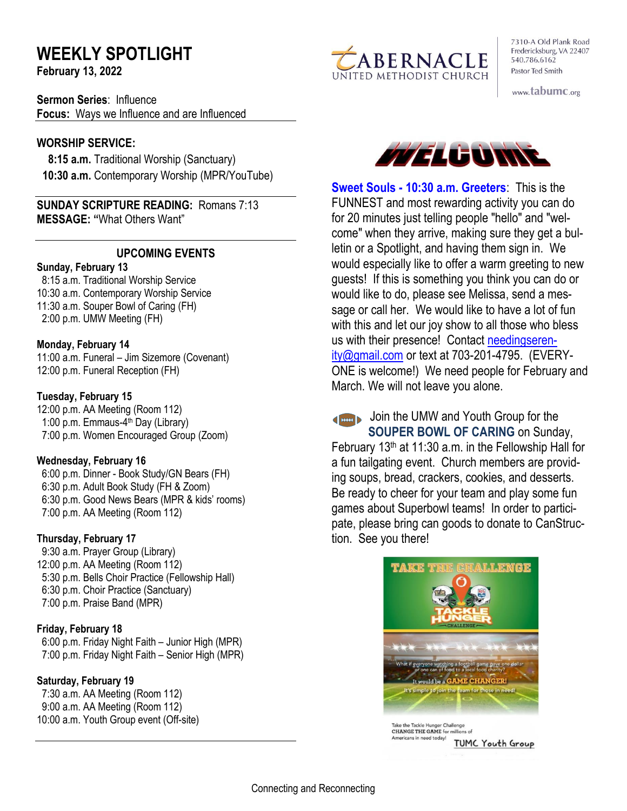# **WEEKLY SPOTLIGHT**

**February 13, 2022** 

**Sermon Series**: Influence **Focus:** Ways we Influence and are Influenced

#### **WORSHIP SERVICE:**

 **8:15 a.m.** Traditional Worship (Sanctuary)  **10:30 a.m.** Contemporary Worship (MPR/YouTube)

**SUNDAY SCRIPTURE READING:** Romans 7:13 **MESSAGE: "**What Others Want"

## **UPCOMING EVENTS**

#### **Sunday, February 13**

 8:15 a.m. Traditional Worship Service 10:30 a.m. Contemporary Worship Service 11:30 a.m. Souper Bowl of Caring (FH) 2:00 p.m. UMW Meeting (FH)

## **Monday, February 14**

11:00 a.m. Funeral – Jim Sizemore (Covenant) 12:00 p.m. Funeral Reception (FH)

#### **Tuesday, February 15**

12:00 p.m. AA Meeting (Room 112) 1:00 p.m. Emmaus-4<sup>th</sup> Day (Library) 7:00 p.m. Women Encouraged Group (Zoom)

#### **Wednesday, February 16**

 6:00 p.m. Dinner - Book Study/GN Bears (FH) 6:30 p.m. Adult Book Study (FH & Zoom) 6:30 p.m. Good News Bears (MPR & kids' rooms) 7:00 p.m. AA Meeting (Room 112)

## **Thursday, February 17**

9:30 a.m. Prayer Group (Library) 12:00 p.m. AA Meeting (Room 112) 5:30 p.m. Bells Choir Practice (Fellowship Hall) 6:30 p.m. Choir Practice (Sanctuary) 7:00 p.m. Praise Band (MPR)

#### **Friday, February 18**

 6:00 p.m. Friday Night Faith – Junior High (MPR) 7:00 p.m. Friday Night Faith – Senior High (MPR)

## **Saturday, February 19**

 7:30 a.m. AA Meeting (Room 112) 9:00 a.m. AA Meeting (Room 112) 10:00 a.m. Youth Group event (Off-site)



7310-A Old Plank Road Fredericksburg, VA 22407 540.786.6162 Pastor Ted Smith

www.tabumc.org



**Sweet Souls - 10:30 a.m. Greeters**: This is the FUNNEST and most rewarding activity you can do for 20 minutes just telling people "hello" and "welcome" when they arrive, making sure they get a bulletin or a Spotlight, and having them sign in. We would especially like to offer a warm greeting to new guests! If this is something you think you can do or would like to do, please see Melissa, send a message or call her. We would like to have a lot of fun with this and let our joy show to all those who bless us with their presence! Contact [needingseren](mailto:needingserenity@gmail.com)[ity@gmail.com](mailto:needingserenity@gmail.com) or text at 703-201-4795. (EVERY-ONE is welcome!) We need people for February and March. We will not leave you alone.

Join the UMW and Youth Group for the **SOUPER BOWL OF CARING** on Sunday, February 13th at 11:30 a.m. in the Fellowship Hall for a fun tailgating event. Church members are providing soups, bread, crackers, cookies, and desserts. Be ready to cheer for your team and play some fun games about Superbowl teams! In order to participate, please bring can goods to donate to CanStruction. See you there!



Take the Tackle Hunger Challenge CHANGE THE GAME for millions of ericans in need today! **TUMC Youth Group**